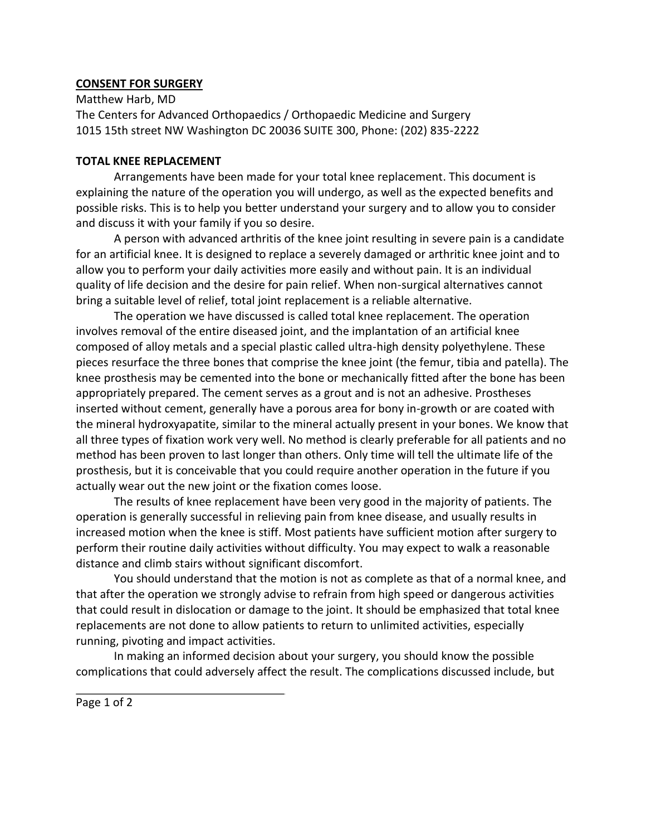## **CONSENT FOR SURGERY**

Matthew Harb, MD The Centers for Advanced Orthopaedics / Orthopaedic Medicine and Surgery 1015 15th street NW Washington DC 20036 SUITE 300, Phone: (202) 835-2222

## **TOTAL KNEE REPLACEMENT**

Arrangements have been made for your total knee replacement. This document is explaining the nature of the operation you will undergo, as well as the expected benefits and possible risks. This is to help you better understand your surgery and to allow you to consider and discuss it with your family if you so desire.

A person with advanced arthritis of the knee joint resulting in severe pain is a candidate for an artificial knee. It is designed to replace a severely damaged or arthritic knee joint and to allow you to perform your daily activities more easily and without pain. It is an individual quality of life decision and the desire for pain relief. When non-surgical alternatives cannot bring a suitable level of relief, total joint replacement is a reliable alternative.

The operation we have discussed is called total knee replacement. The operation involves removal of the entire diseased joint, and the implantation of an artificial knee composed of alloy metals and a special plastic called ultra-high density polyethylene. These pieces resurface the three bones that comprise the knee joint (the femur, tibia and patella). The knee prosthesis may be cemented into the bone or mechanically fitted after the bone has been appropriately prepared. The cement serves as a grout and is not an adhesive. Prostheses inserted without cement, generally have a porous area for bony in-growth or are coated with the mineral hydroxyapatite, similar to the mineral actually present in your bones. We know that all three types of fixation work very well. No method is clearly preferable for all patients and no method has been proven to last longer than others. Only time will tell the ultimate life of the prosthesis, but it is conceivable that you could require another operation in the future if you actually wear out the new joint or the fixation comes loose.

The results of knee replacement have been very good in the majority of patients. The operation is generally successful in relieving pain from knee disease, and usually results in increased motion when the knee is stiff. Most patients have sufficient motion after surgery to perform their routine daily activities without difficulty. You may expect to walk a reasonable distance and climb stairs without significant discomfort.

You should understand that the motion is not as complete as that of a normal knee, and that after the operation we strongly advise to refrain from high speed or dangerous activities that could result in dislocation or damage to the joint. It should be emphasized that total knee replacements are not done to allow patients to return to unlimited activities, especially running, pivoting and impact activities.

In making an informed decision about your surgery, you should know the possible complications that could adversely affect the result. The complications discussed include, but

Page 1 of 2